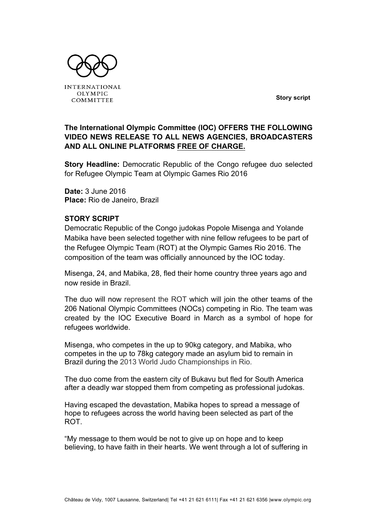**Story script**



**The International Olympic Committee (IOC) OFFERS THE FOLLOWING VIDEO NEWS RELEASE TO ALL NEWS AGENCIES, BROADCASTERS AND ALL ONLINE PLATFORMS FREE OF CHARGE.**

**Story Headline:** Democratic Republic of the Congo refugee duo selected for Refugee Olympic Team at Olympic Games Rio 2016

**Date:** 3 June 2016 **Place:** Rio de Janeiro, Brazil

## **STORY SCRIPT**

Democratic Republic of the Congo judokas Popole Misenga and Yolande Mabika have been selected together with nine fellow refugees to be part of the Refugee Olympic Team (ROT) at the Olympic Games Rio 2016. The composition of the team was officially announced by the IOC today.

Misenga, 24, and Mabika, 28, fled their home country three years ago and now reside in Brazil.

The duo will now represent the ROT which will join the other teams of the 206 National Olympic Committees (NOCs) competing in Rio. The team was created by the IOC Executive Board in March as a symbol of hope for refugees worldwide.

Misenga, who competes in the up to 90kg category, and Mabika, who competes in the up to 78kg category made an asylum bid to remain in Brazil during the 2013 World Judo Championships in Rio.

The duo come from the eastern city of Bukavu but fled for South America after a deadly war stopped them from competing as professional judokas.

Having escaped the devastation, Mabika hopes to spread a message of hope to refugees across the world having been selected as part of the ROT.

"My message to them would be not to give up on hope and to keep believing, to have faith in their hearts. We went through a lot of suffering in